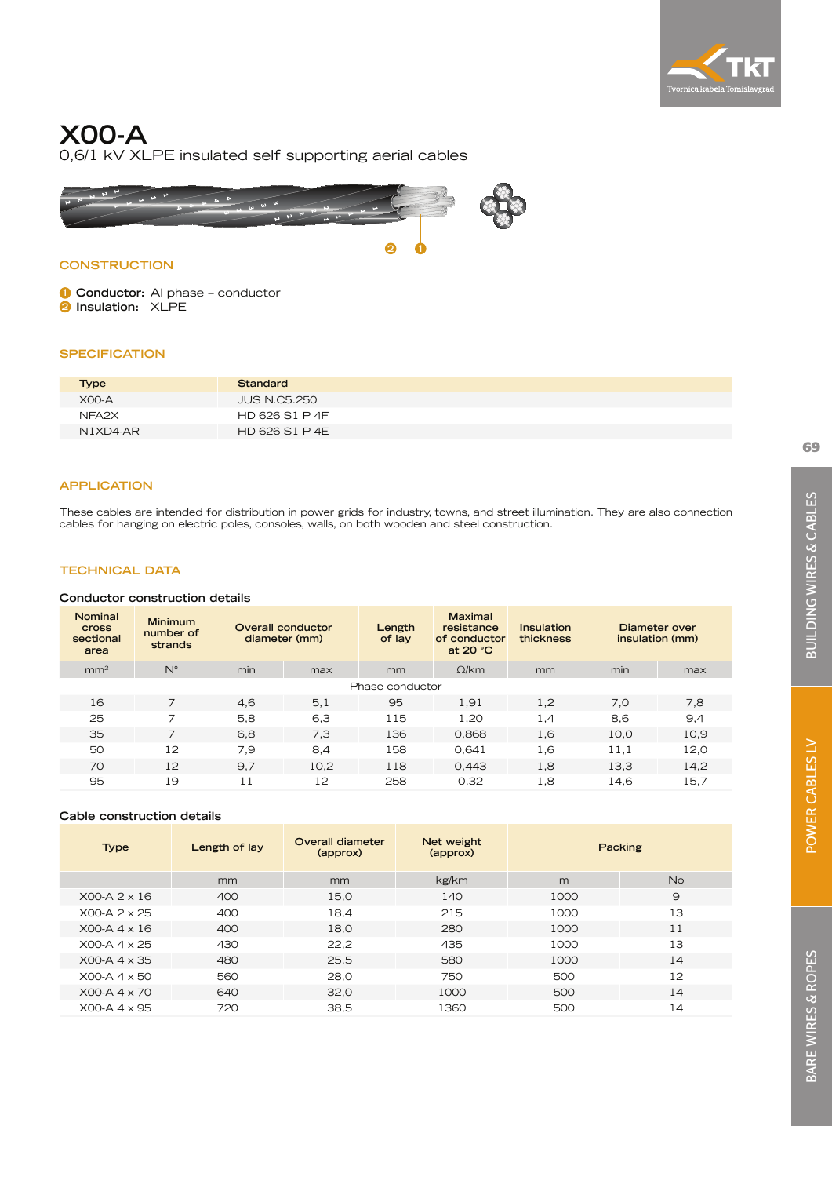

# **X00-A**

0,6/1 kV XLPE insulated self supporting aerial cables



## **CONSTRUCTION**

**1 Conductor:** Al phase – conductor **2 Insulation:** XLPE

### **SPECIFICATION**

| <b>Type</b>       | Standard       |  |
|-------------------|----------------|--|
| <b>X00-A</b>      | JUS N.C5.250   |  |
| NFA <sub>2X</sub> | HD 626 S1 P 4F |  |
| $N1XDA-AR$        | HD 626 S1 P 4E |  |

### **APPLICATION**

These cables are intended for distribution in power grids for industry, towns, and street illumination. They are also connection cables for hanging on electric poles, consoles, walls, on both wooden and steel construction.

## **TECHNICAL DATA**

### **Conductor construction details**

| Nominal<br><b>Cross</b><br>sectional<br>area | Minimum<br>number of<br>strands | Overall conductor<br>diameter (mm) |           | Length<br>of lay | <b>Maximal</b><br>resistance<br>of conductor<br>at $20 °C$ | Insulation<br>thickness | Diameter over<br>insulation (mm) |      |
|----------------------------------------------|---------------------------------|------------------------------------|-----------|------------------|------------------------------------------------------------|-------------------------|----------------------------------|------|
| mm <sup>2</sup>                              | $N^{\circ}$                     | min                                | max       | mm               | O/km                                                       | mm                      | min                              | max  |
| Phase conductor                              |                                 |                                    |           |                  |                                                            |                         |                                  |      |
| 16                                           | 7                               | 4,6                                | 5,1       | 95               | 1,91                                                       | 1,2                     | 7,0                              | 7.8  |
| 25                                           | ⇁                               | 5.8                                | 6,3       | 115              | 1.20                                                       | 1.4                     | 8,6                              | 9,4  |
| 35                                           | 7                               | 6.8                                | 7.3       | 136              | 0.868                                                      | 1.6                     | 10.0                             | 10,9 |
| 50                                           | $12^{12}$                       | 7.9                                | 8,4       | 158              | 0.641                                                      | 1,6                     | 11.1                             | 12,0 |
| 70                                           | 12                              | 9.7                                | 10,2      | 118              | 0.443                                                      | 1,8                     | 13,3                             | 14,2 |
| 95                                           | 19                              | 11                                 | $12^{12}$ | 258              | 0.32                                                       | 1,8                     | 14,6                             | 15,7 |

### **Cable construction details**

| <b>Type</b>           | Length of lay | Overall diameter<br>(approx) | Net weight<br>(approx) | Packing |           |
|-----------------------|---------------|------------------------------|------------------------|---------|-----------|
|                       | mm            | mm                           | kg/km                  | m       | <b>No</b> |
| $XOO-A$ 2 $\times$ 16 | 400           | 15,0                         | 140                    | 1000    | 9         |
| $XOO-A$ 2 $\times$ 25 | 400           | 18,4                         | 215                    | 1000    | 13        |
| $XOO-A$ 4 $\times$ 16 | 400           | 18,0                         | 280                    | 1000    | 11        |
| $XOO-A$ 4 $\times$ 25 | 430           | 22,2                         | 435                    | 1000    | 13        |
| $XOO-A$ 4 $\times$ 35 | 480           | 25,5                         | 580                    | 1000    | 14        |
| $XOO-A$ 4 $\times$ 50 | 560           | 28,0                         | 750                    | 500     | 12        |
| $XOO-A$ 4 $\times$ 70 | 640           | 32,0                         | 1000                   | 500     | 14        |
| $XOO-A$ 4 $\times$ 95 | 720           | 38,5                         | 1360                   | 500     | 14        |
|                       |               |                              |                        |         |           |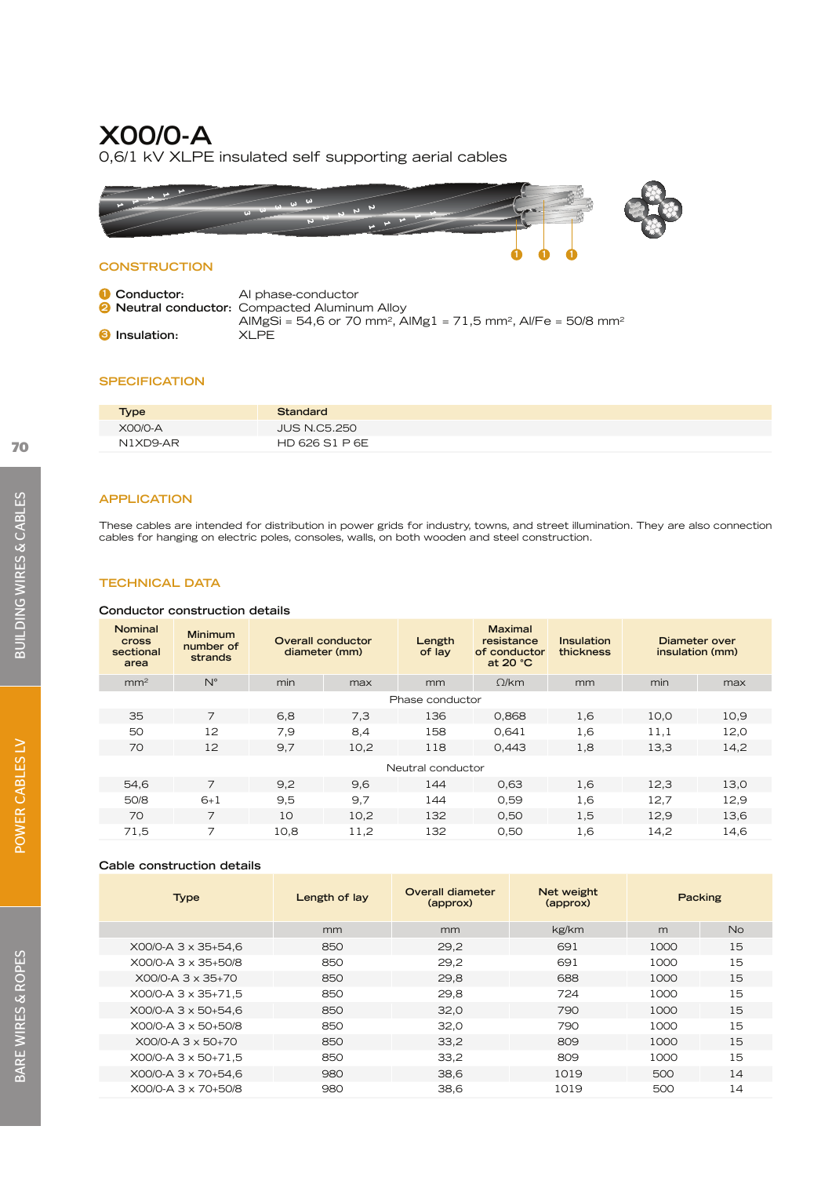## **X00/0-A**

0,6/1 kV XLPE insulated self supporting aerial cables



## **CONSTRUCTION**

| <b>1</b> Conductor:  | Al phase-conductor                                                                                |
|----------------------|---------------------------------------------------------------------------------------------------|
|                      | <b>2 Neutral conductor:</b> Compacted Aluminum Alloy                                              |
|                      | AlMgSi = 54,6 or 70 mm <sup>2</sup> , AlMg1 = 71,5 mm <sup>2</sup> , Al/Fe = 50/8 mm <sup>2</sup> |
| <b>8</b> Insulation: | <b>XLPE</b>                                                                                       |

## **SPECIFICATION**

| <b>Type</b> | Standard            |
|-------------|---------------------|
| X00/0-A     | <b>JUS N.C5.250</b> |
| N1XD9-AR    | HD 626 S1 P 6E      |

### **APPLICATION**

These cables are intended for distribution in power grids for industry, towns, and street illumination. They are also connection cables for hanging on electric poles, consoles, walls, on both wooden and steel construction.

### **TECHNICAL DATA**

### **Conductor construction details**

| Nominal<br><b>Cross</b><br>sectional<br>area | Minimum<br>number of<br>strands | Overall conductor<br>diameter (mm) |      | Length<br>of lay  | <b>Maximal</b><br>resistance<br>of conductor<br>at 20 °C | Insulation<br>thickness | Diameter over<br>insulation (mm) |      |
|----------------------------------------------|---------------------------------|------------------------------------|------|-------------------|----------------------------------------------------------|-------------------------|----------------------------------|------|
| mm <sup>2</sup>                              | $N^{\circ}$                     | min                                | max  | mm                | $\Omega$ /km                                             | mm                      | min                              | max  |
| Phase conductor                              |                                 |                                    |      |                   |                                                          |                         |                                  |      |
| 35                                           | $\overline{7}$                  | 6,8                                | 7.3  | 136               | 0,868                                                    | 1,6                     | 10,0                             | 10,9 |
| 50                                           | 12                              | 7,9                                | 8,4  | 158               | 0.641                                                    | 1,6                     | 11,1                             | 12,0 |
| 70                                           | 12                              | 9,7                                | 10,2 | 118               | 0,443                                                    | 1,8                     | 13,3                             | 14,2 |
|                                              |                                 |                                    |      | Neutral conductor |                                                          |                         |                                  |      |
| 54,6                                         | 7                               | 9,2                                | 9.6  | 144               | 0.63                                                     | 1.6                     | 12,3                             | 13,0 |
| 50/8                                         | $6+1$                           | 9,5                                | 9,7  | 144               | 0,59                                                     | 1,6                     | 12,7                             | 12,9 |
| 70                                           | 7                               | 10                                 | 10,2 | 132               | 0,50                                                     | 1,5                     | 12,9                             | 13,6 |
| 71,5                                         | 7                               | 10,8                               | 11,2 | 132               | 0.50                                                     | 1,6                     | 14,2                             | 14,6 |

### **Cable construction details**

| <b>Type</b>         | Length of lay | Overall diameter<br>(approx) | Net weight<br>(approx) | Packing |    |
|---------------------|---------------|------------------------------|------------------------|---------|----|
|                     | mm            | mm                           | kg/km                  | m       | No |
| X00/0-A 3 x 35+54.6 | 850           | 29,2                         | 691                    | 1000    | 15 |
| X00/0-A 3 x 35+50/8 | 850           | 29.2                         | 691                    | 1000    | 15 |
| X00/0-A 3 x 35+70   | 850           | 29,8                         | 688                    | 1000    | 15 |
| X00/0-A 3 x 35+71.5 | 850           | 29.8                         | 724                    | 1000    | 15 |
| X00/0-A 3 x 50+54,6 | 850           | 32.0                         | 790                    | 1000    | 15 |
| X00/0-A 3 x 50+50/8 | 850           | 32.0                         | 790                    | 1000    | 15 |
| X00/0-A 3 x 50+70   | 850           | 33,2                         | 809                    | 1000    | 15 |
| X00/0-A 3 x 50+71,5 | 850           | 33,2                         | 809                    | 1000    | 15 |
| X00/0-A 3 x 70+54.6 | 980           | 38,6                         | 1019                   | 500     | 14 |
| X00/0-A 3 x 70+50/8 | 980           | 38,6                         | 1019                   | 500     | 14 |
|                     |               |                              |                        |         |    |

POWER CABLES LV

POWER CABLES LV